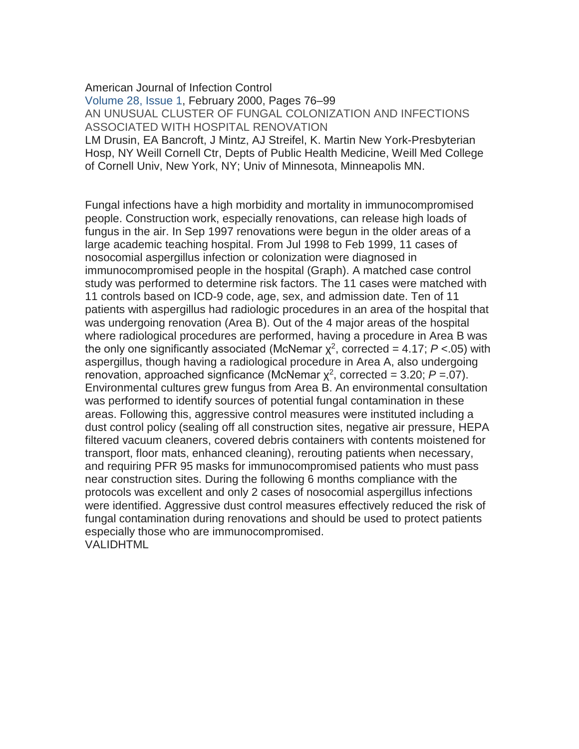[American Journal of Infection Control](http://www.sciencedirect.com/science/journal/01966553)

[Volume 28, Issue 1,](http://www.sciencedirect.com/science/journal/01966553/28/1) February 2000, Pages 76–99 AN UNUSUAL CLUSTER OF FUNGAL COLONIZATION AND INFECTIONS ASSOCIATED WITH HOSPITAL RENOVATION

LM Drusin, EA Bancroft, J Mintz, AJ Streifel, K. Martin New York-Presbyterian Hosp, NY Weill Cornell Ctr, Depts of Public Health Medicine, Weill Med College of Cornell Univ, New York, NY; Univ of Minnesota, Minneapolis MN.

Fungal infections have a high morbidity and mortality in immunocompromised people. Construction work, especially renovations, can release high loads of fungus in the air. In Sep 1997 renovations were begun in the older areas of a large academic teaching hospital. From Jul 1998 to Feb 1999, 11 cases of nosocomial aspergillus infection or colonization were diagnosed in immunocompromised people in the hospital (Graph). A matched case control study was performed to determine risk factors. The 11 cases were matched with 11 controls based on ICD-9 code, age, sex, and admission date. Ten of 11 patients with aspergillus had radiologic procedures in an area of the hospital that was undergoing renovation (Area B). Out of the 4 major areas of the hospital where radiological procedures are performed, having a procedure in Area B was the only one significantly associated (McNemar  $\chi^2$ , corrected = 4.17;  $P < .05$ ) with aspergillus, though having a radiological procedure in Area A, also undergoing renovation, approached signficance (McNemar  $\chi^2$ , corrected = 3.20;  $P = 07$ ). Environmental cultures grew fungus from Area B. An environmental consultation was performed to identify sources of potential fungal contamination in these areas. Following this, aggressive control measures were instituted including a dust control policy (sealing off all construction sites, negative air pressure, HEPA filtered vacuum cleaners, covered debris containers with contents moistened for transport, floor mats, enhanced cleaning), rerouting patients when necessary, and requiring PFR 95 masks for immunocompromised patients who must pass near construction sites. During the following 6 months compliance with the protocols was excellent and only 2 cases of nosocomial aspergillus infections were identified. Aggressive dust control measures effectively reduced the risk of fungal contamination during renovations and should be used to protect patients especially those who are immunocompromised. VALIDHTML